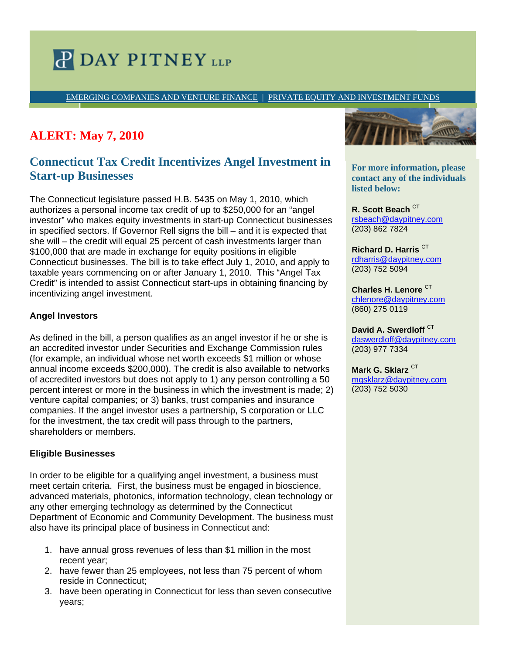# **P DAY PITNEY LLP**

EMERGING COMPANIES AND VENTURE FINANCE | PRIVATE EQUITY AND INVESTMENT FUNDS

## **ALERT: May 7, 2010**

### **Connecticut Tax Credit Incentivizes Angel Investment in Start-up Businesses**

The Connecticut legislature passed H.B. 5435 on May 1, 2010, which authorizes a personal income tax credit of up to \$250,000 for an "angel investor" who makes equity investments in start-up Connecticut businesses in specified sectors. If Governor Rell signs the bill – and it is expected that she will – the credit will equal 25 percent of cash investments larger than \$100,000 that are made in exchange for equity positions in eligible Connecticut businesses. The bill is to take effect July 1, 2010, and apply to taxable years commencing on or after January 1, 2010. This "Angel Tax Credit" is intended to assist Connecticut start-ups in obtaining financing by incentivizing angel investment.

#### **Angel Investors**

As defined in the bill, a person qualifies as an angel investor if he or she is an accredited investor under Securities and Exchange Commission rules (for example, an individual whose net worth exceeds \$1 million or whose annual income exceeds \$200,000). The credit is also available to networks of accredited investors but does not apply to 1) any person controlling a 50 percent interest or more in the business in which the investment is made; 2) venture capital companies; or 3) banks, trust companies and insurance companies. If the angel investor uses a partnership, S corporation or LLC for the investment, the tax credit will pass through to the partners, shareholders or members.

#### **Eligible Businesses**

In order to be eligible for a qualifying angel investment, a business must meet certain criteria. First, the business must be engaged in bioscience, advanced materials, photonics, information technology, clean technology or any other emerging technology as determined by the Connecticut Department of Economic and Community Development. The business must also have its principal place of business in Connecticut and:

- 1. have annual gross revenues of less than \$1 million in the most recent year;
- 2. have fewer than 25 employees, not less than 75 percent of whom reside in Connecticut;
- 3. have been operating in Connecticut for less than seven consecutive years;



**contact any of the individuals disted below: different professional assistance to:**  $\frac{1}{2}$ **For more information, please** 

• *bullet 1*  rsbeach@daypitney.com • *bullet 2*  (203) 862 7824 **R. Scott Beach CT** 

**For more information, please**  rdharris@daypitney.com **contact any of the individuals**  (203) 752 5094 **Richard D. Harris** CT

chlenore@daypitney.com rmtaylor@daypitney.com (860) 275 0119 **Charles H. Lenore** CT

**David A. Swerdloff** CT daswerdloff@daypitney.com djelliott@daypitney.com (203) 977 7334

(860) 275-0196 **Mark G. Sklarz** CT mgsklarz@daypitney.com rjanis@daypitney.com (203) 752 5030